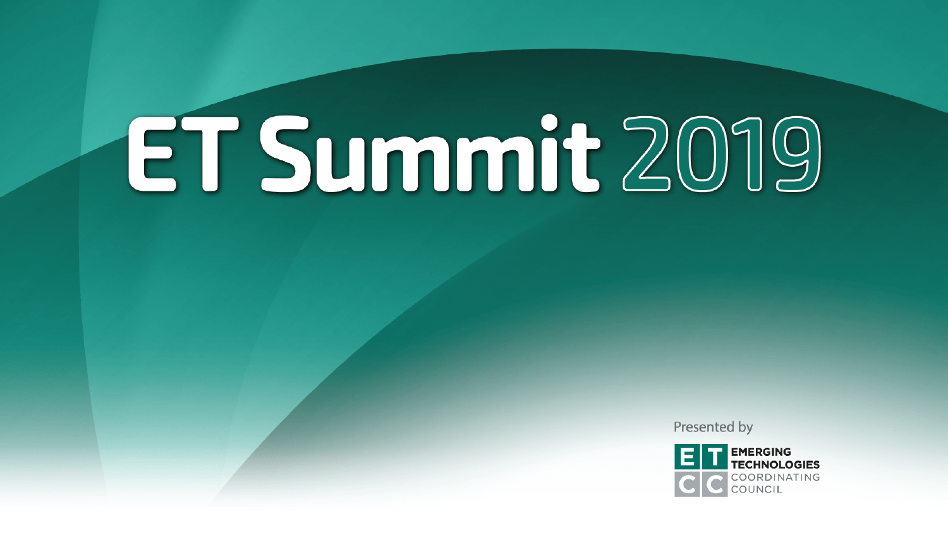Presented by

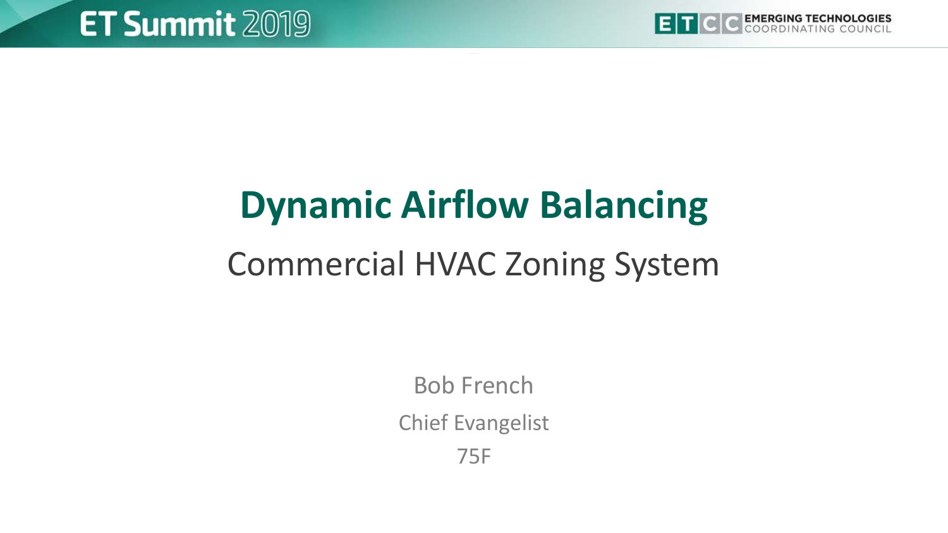

# **Dynamic Airflow Balancing**

# Commercial HVAC Zoning System

Bob French

Chief Evangelist

75F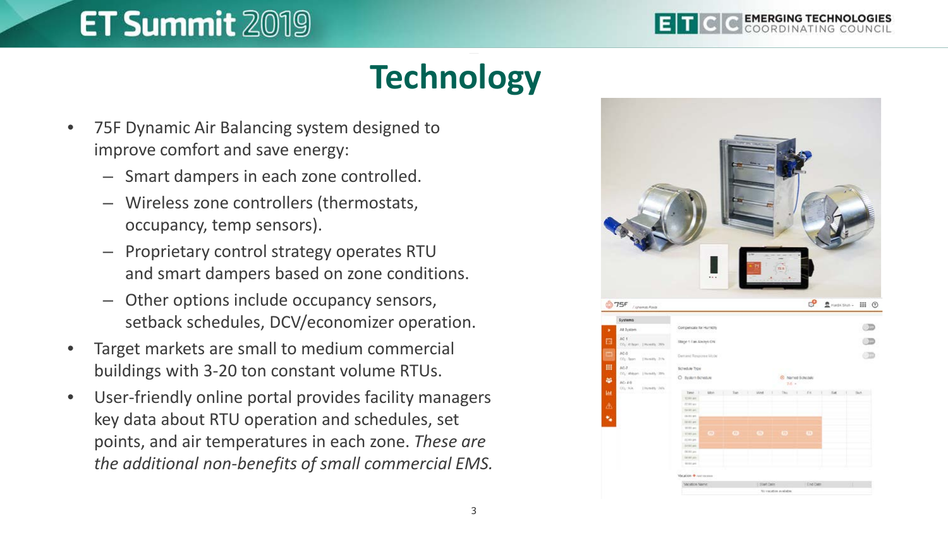

# **Technology**

- 75F Dynamic Air Balancing system designed to improve comfort and save energy:
	- Smart dampers in each zone controlled.
	- Wireless zone controllers (thermostats, occupancy, temp sensors).
	- Proprietary control strategy operates RTU and smart dampers based on zone conditions.
	- Other options include occupancy sensors, setback schedules, DCV/economizer operation.
- Target markets are small to medium commercial buildings with 3-20 ton constant volume RTUs.
- User-friendly online portal provides facility managers key data about RTU operation and schedules, set points, and air temperatures in each zone. *These are the additional non-benefits of small commercial EMS.*

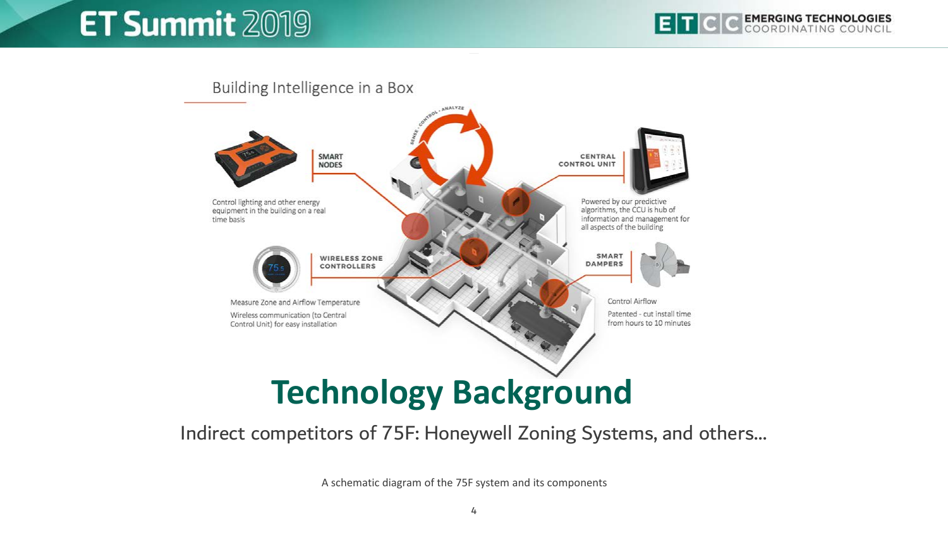

#### Indirect competitors of 75F: Honeywell Zoning Systems, and others…

A schematic diagram of the 75F system and its components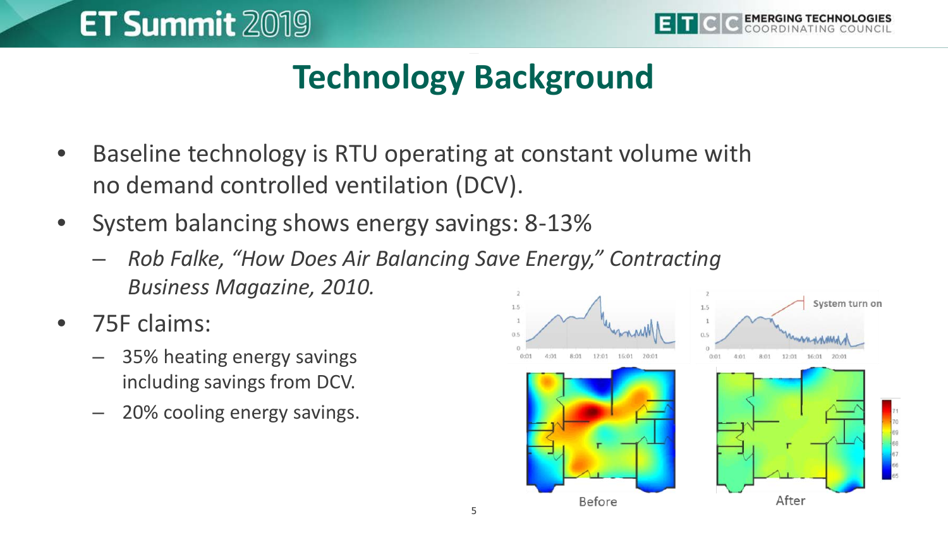

# **Technology Background**

- Baseline technology is RTU operating at constant volume with no demand controlled ventilation (DCV).
- System balancing shows energy savings: 8-13%
	- *Rob Falke, "How Does Air Balancing Save Energy," Contracting Business Magazine, 2010.*
- 75F claims:
	- 35% heating energy savings including savings from DCV.
	- 20% cooling energy savings.

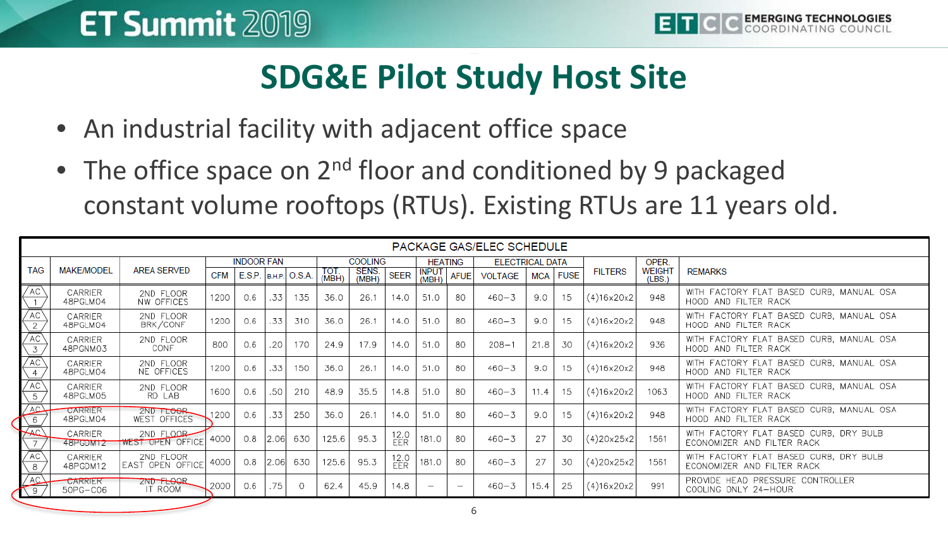

# **SDG&E Pilot Study Host Site**

- An industrial facility with adjacent office space
- The office space on  $2^{nd}$  floor and conditioned by 9 packaged constant volume rooftops (RTUs). Existing RTUs are 11 years old.

| PACKAGE GAS/ELEC SCHEDULE                     |                     |                                      |                   |                          |      |          |                |                |                    |                          |                                 |                        |            |             |                |                         |                                                                      |
|-----------------------------------------------|---------------------|--------------------------------------|-------------------|--------------------------|------|----------|----------------|----------------|--------------------|--------------------------|---------------------------------|------------------------|------------|-------------|----------------|-------------------------|----------------------------------------------------------------------|
| <b>TAG</b>                                    | <b>MAKE/MODEL</b>   | <b>AREA SERVED</b>                   | <b>INDOOR FAN</b> |                          |      |          | <b>COOLING</b> |                |                    | <b>HEATING</b>           |                                 | <b>ELECTRICAL DATA</b> |            |             |                | OPER.                   |                                                                      |
|                                               |                     |                                      | <b>CFM</b>        | $E.S.P.$ B.H.P. $O.S.A.$ |      |          | TOT.<br>(MBH)  | SENS.<br>(MBH) | <b>SEER</b>        | <b>INPUT</b><br>(MBH)    | <b>AFUE</b>                     | <b>VOLTAGE</b>         | <b>MCA</b> | <b>FUSE</b> | <b>FILTERS</b> | <b>WEIGHT</b><br>(LBS.) | <b>REMARKS</b>                                                       |
| AC\                                           | CARRIER<br>48PGLM04 | 2ND FLOOR<br>NW OFFICES              | 1200              | 0.6                      | .33  | 135      | 36.0           | 26.1           | 14.0               | 51.0                     | 80                              | $460 - 3$              | 9.0        | 15          | (4)16x20x2     | 948                     | WITH FACTORY FLAT BASED CURB. MANUAL OSA<br>HOOD AND FILTER RACK     |
| /ac\<br>2                                     | CARRIER<br>48PGLM04 | 2ND FLOOR<br>BRK/CONF                | 1200              | 0.6                      | .33  | 310      | 36.0           | 26.1           | 14.0               | 51.0                     | 80                              | $460 - 3$              | 9.0        | 15          | (4)16x20x2     | 948                     | WITH FACTORY FLAT BASED CURB, MANUAL OSA<br>HOOD AND FILTER RACK     |
| AC<br>3                                       | CARRIER<br>48PGNM03 | 2ND FLOOR<br>CONF                    | 800               | 0.6                      | 20   | 170      | 24.9           | 17.9           | 14.0               | 51.0                     | 80                              | $208 - 1$              | 21.8       | 30          | (4)16x20x2     | 936                     | WITH FACTORY FLAT BASED CURB, MANUAL OSA<br>HOOD AND FILTER RACK     |
| AC<br>4                                       | CARRIER<br>48PGLM04 | 2ND FLOOR<br>NE OFFICES              | 1200              | 0.6                      | .33  | 150      | 36.0           | 26.1           | 14.0               | 51.0                     | 80                              | $460 - 3$              | 9.0        | 15          | (4)16x20x2     | 948                     | WITH FACTORY FLAT BASED CURB, MANUAL OSA<br>HOOD AND FILTER RACK     |
| AC <sup>\</sup><br>$\overline{\phantom{a}}^5$ | CARRIER<br>48PGLM05 | 2ND FLOOR<br>RD LAB                  | 1600              | 0.6                      | .50  | 210      | 48.9           | 35.5           | 14.8               | 51.0                     | 80                              | $460 - 3$              | 11.4       | 15          | (4)16x20x2     | 1063                    | WITH FACTORY FLAT BASED CURB. MANUAL OSA<br>HOOD AND FILTER RACK     |
| AC<br>6                                       | CARRIER<br>48PGLM04 | 2ND FLOOR<br>WEST OFFICES            | 1200              | 0.6                      | .33  | 250      | 36.0           | 26.1           | 14.0               | 51.0                     | 80                              | $460 - 3$              | 9.0        | 15          | (4)16x20x2     | 948                     | WITH FACTORY FLAT BASED CURB, MANUAL OSA<br>HOOD AND FILTER RACK     |
| $\sqrt{2}$                                    | CARRIFR<br>48PGDM12 | 2ND FLOOR<br><b>WEST OPEN OFFICE</b> | 4000              | 0.8                      | 2.06 | 630      | 125.6          | 95.3           | 12.0<br><b>FFR</b> | 181.0                    | 80                              | $460 - 3$              | 27         | 30          | (4)20x25x2     | 1561                    | WITH FACTORY FLAT BASED CURB, DRY BULB<br>ECONOMIZER AND FILTER RACK |
| AC<br>8                                       | CARRIER<br>48PGDM12 | 2ND FLOOR<br>EAST OPEN OFFICE        | 4000              | 0.8                      | 2.06 | 630      | 125.6          | 95.3           | 12.0<br>EER        | 181.0                    | 80                              | $460 - 3$              | 27         | 30          | (4)20x25x2     | 1561                    | WITH FACTORY FLAT BASED CURB, DRY BULB<br>ECONOMIZER AND FILTER RACK |
| AC<br>$\sqrt{9}$                              | CARRIER<br>50PG-C06 | 2ND FLOOR<br>IT ROOM                 | 2000              | 0.6                      | 75   | $\Omega$ | 62.4           | 45.9           | 14.8               | $\overline{\phantom{a}}$ | $\hspace{0.1mm}-\hspace{0.1mm}$ | $460 - 3$              | 15.4       | 25          | (4)16x20x2     | 991                     | PROVIDE HEAD PRESSURE CONTROLLER<br>COOLING ONLY 24-HOUR             |
|                                               |                     |                                      |                   |                          |      |          |                |                |                    |                          |                                 |                        |            |             |                |                         |                                                                      |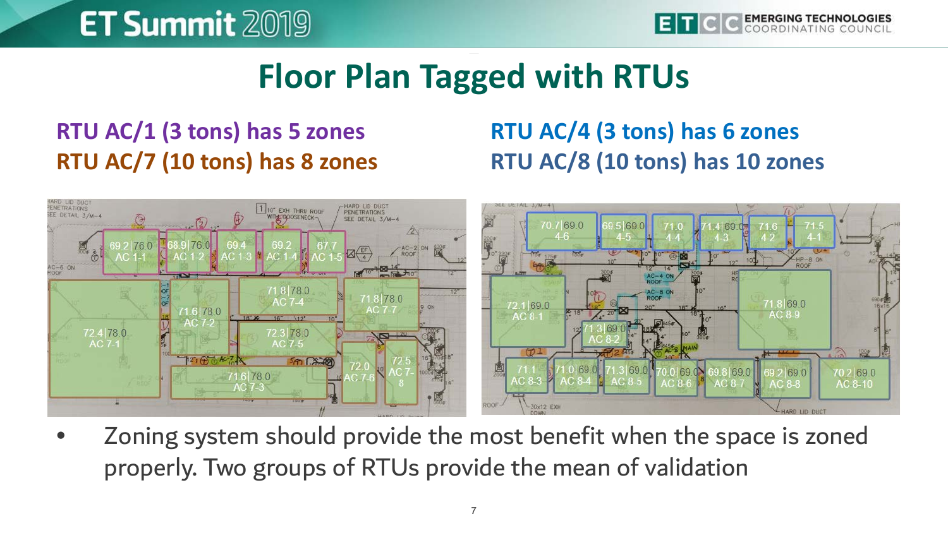**EMERGING TECHNOLOGIES** 

#### **Floor Plan Tagged with RTUs**

#### **RTU AC/1 (3 tons) has 5 zones RTU AC/7 (10 tons) has 8 zones**

#### **RTU AC/4 (3 tons) has 6 zones RTU AC/8 (10 tons) has 10 zones**



• Zoning system should provide the most benefit when the space is zoned properly. Two groups of RTUs provide the mean of validation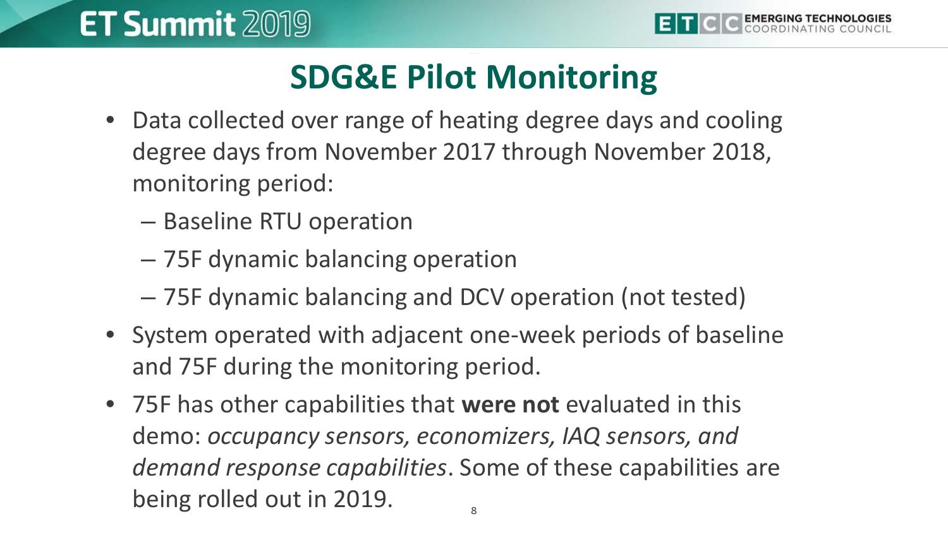# **SDG&E Pilot Monitoring**

- Data collected over range of heating degree days and cooling degree days from November 2017 through November 2018, monitoring period:
	- Baseline RTU operation
	- 75F dynamic balancing operation
	- 75F dynamic balancing and DCV operation (not tested)
- System operated with adjacent one-week periods of baseline and 75F during the monitoring period.
- 75F has other capabilities that **were not** evaluated in this demo: *occupancy sensors, economizers, IAQ sensors, and demand response capabilities*. Some of these capabilities are being rolled out in 2019.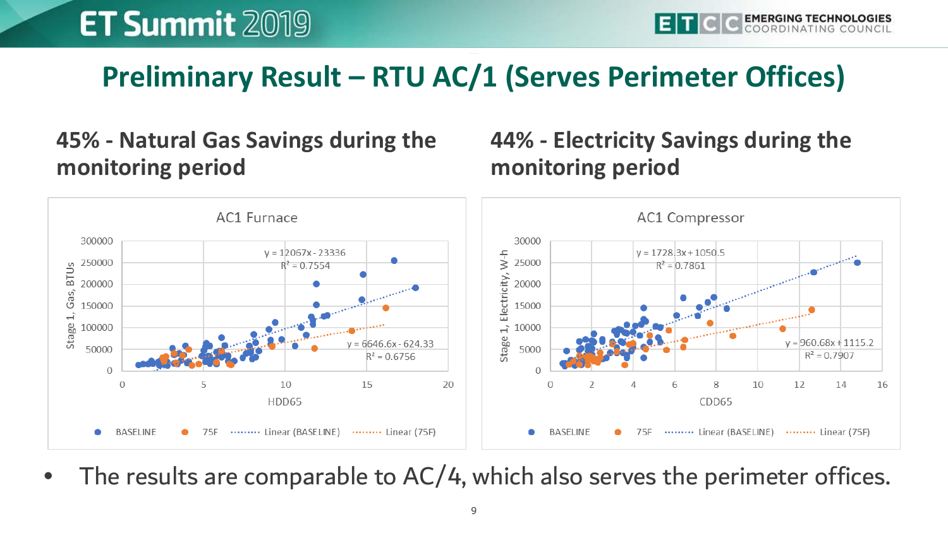#### **Preliminary Result – RTU AC/1 (Serves Perimeter Offices)**

#### **45% - Natural Gas Savings during the monitoring period**

#### **44% - Electricity Savings during the monitoring period**



The results are comparable to AC/4, which also serves the perimeter offices.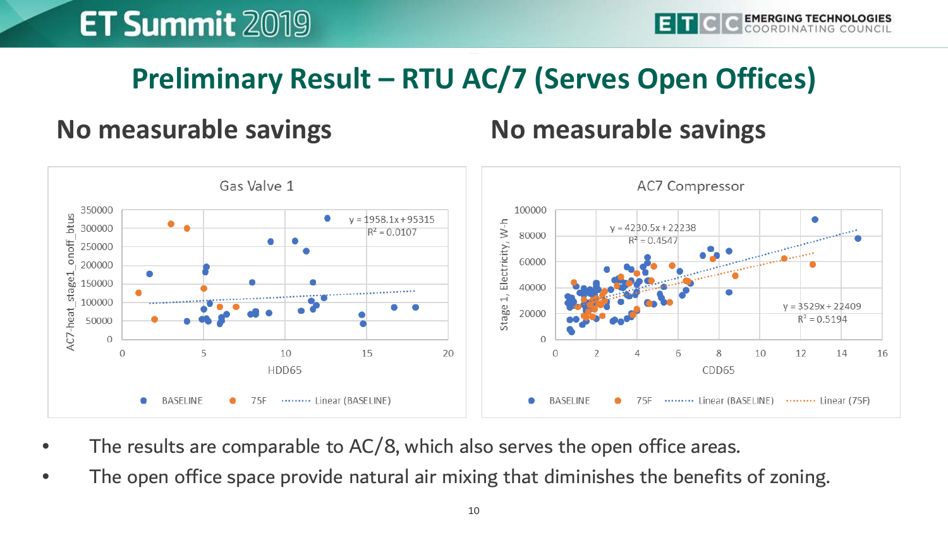#### **Preliminary Result – RTU AC/7 (Serves Open Offices)**

#### **No measurable savings No measurable savings**



- The results are comparable to AC/8, which also serves the open office areas.
- The open office space provide natural air mixing that diminishes the benefits of zoning.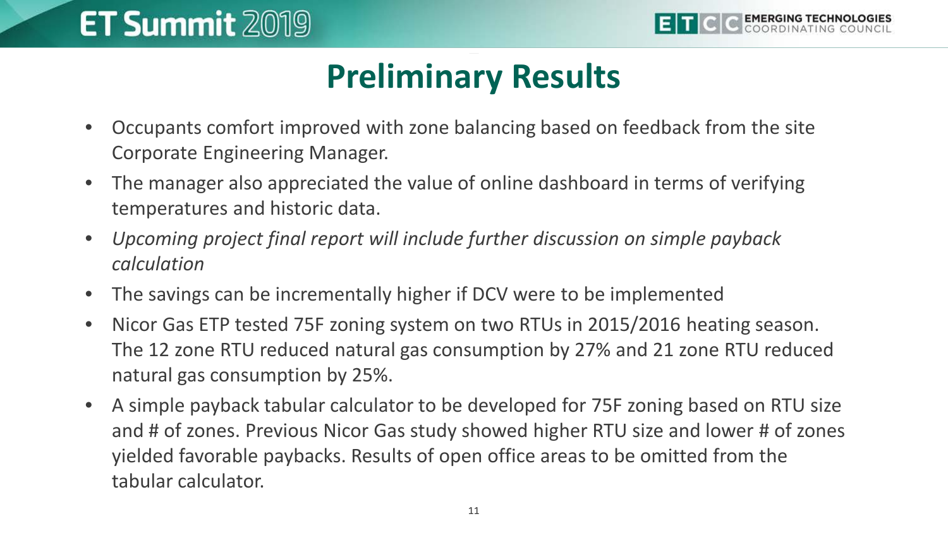

### **Preliminary Results**

- Occupants comfort improved with zone balancing based on feedback from the site Corporate Engineering Manager.
- The manager also appreciated the value of online dashboard in terms of verifying temperatures and historic data.
- *Upcoming project final report will include further discussion on simple payback calculation*
- The savings can be incrementally higher if DCV were to be implemented
- Nicor Gas ETP tested 75F zoning system on two RTUs in 2015/2016 heating season. The 12 zone RTU reduced natural gas consumption by 27% and 21 zone RTU reduced natural gas consumption by 25%.
- A simple payback tabular calculator to be developed for 75F zoning based on RTU size and # of zones. Previous Nicor Gas study showed higher RTU size and lower # of zones yielded favorable paybacks. Results of open office areas to be omitted from the tabular calculator.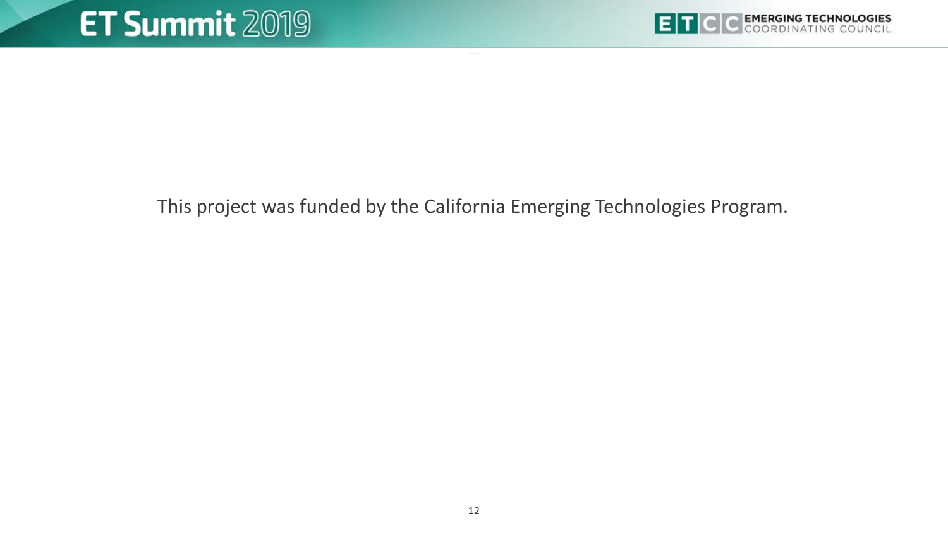

This project was funded by the California Emerging Technologies Program.